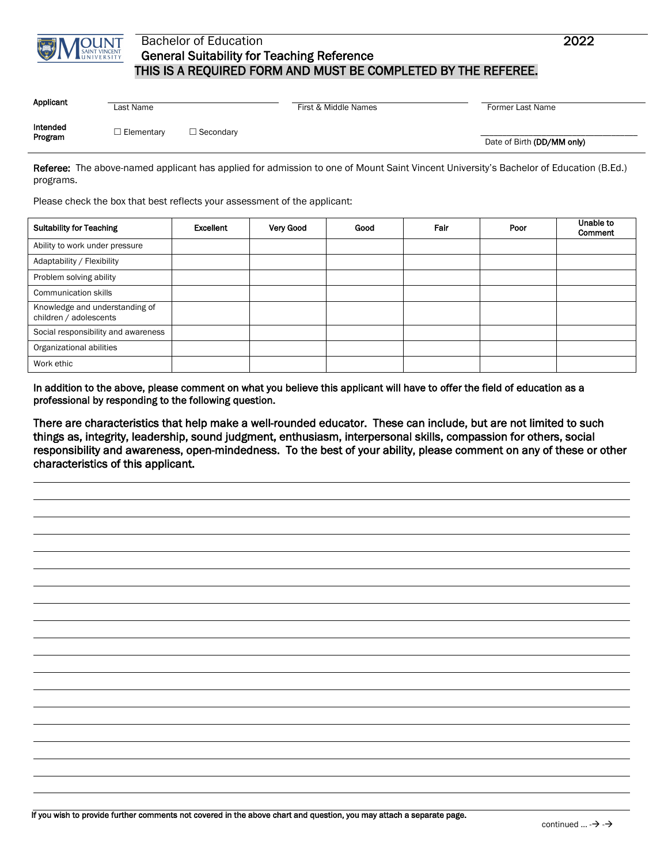

## Bachelor of Education 2022 General Suitability for Teaching Reference THIS IS A REQUIRED FORM AND MUST BE COMPLETED BY THE REFEREE.

| Applicant           |              |             |                      |                            |  |
|---------------------|--------------|-------------|----------------------|----------------------------|--|
|                     | Last Name    |             | First & Middle Names | Former Last Name           |  |
| Intended<br>Program | ∟ Elementary | □ Secondary |                      |                            |  |
|                     |              |             |                      | Date of Birth (DD/MM only) |  |

Referee: The above-named applicant has applied for admission to one of Mount Saint Vincent University's Bachelor of Education (B.Ed.) programs.

Please check the box that best reflects your assessment of the applicant:

| <b>Suitability for Teaching</b>                          | Excellent | Very Good | Good | Fair | Poor | Unable to<br><b>Comment</b> |
|----------------------------------------------------------|-----------|-----------|------|------|------|-----------------------------|
| Ability to work under pressure                           |           |           |      |      |      |                             |
| Adaptability / Flexibility                               |           |           |      |      |      |                             |
| Problem solving ability                                  |           |           |      |      |      |                             |
| <b>Communication skills</b>                              |           |           |      |      |      |                             |
| Knowledge and understanding of<br>children / adolescents |           |           |      |      |      |                             |
| Social responsibility and awareness                      |           |           |      |      |      |                             |
| Organizational abilities                                 |           |           |      |      |      |                             |
| Work ethic                                               |           |           |      |      |      |                             |

In addition to the above, please comment on what you believe this applicant will have to offer the field of education as a professional by responding to the following question.

There are characteristics that help make a well-rounded educator. These can include, but are not limited to such things as, integrity, leadership, sound judgment, enthusiasm, interpersonal skills, compassion for others, social responsibility and awareness, open-mindedness. To the best of your ability, please comment on any of these or other characteristics of this applicant.